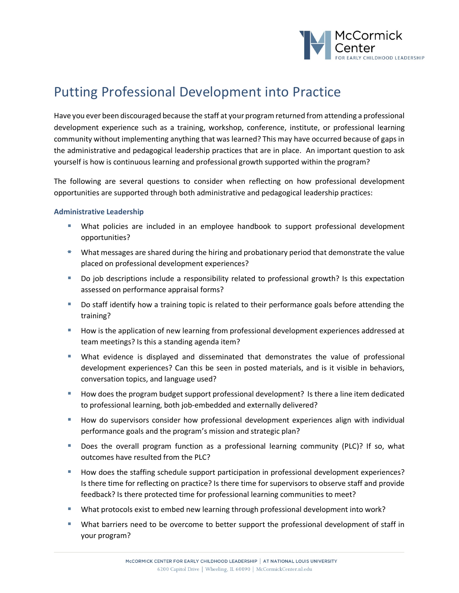

## Putting Professional Development into Practice

Have you ever been discouraged because the staff at your program returned from attending a professional development experience such as a training, workshop, conference, institute, or professional learning community without implementing anything that was learned? This may have occurred because of gaps in the administrative and pedagogical leadership practices that are in place. An important question to ask yourself is how is continuous learning and professional growth supported within the program?

The following are several questions to consider when reflecting on how professional development opportunities are supported through both administrative and pedagogical leadership practices:

## **Administrative Leadership**

- § What policies are included in an employee handbook to support professional development opportunities?
- $\bullet$  What messages are shared during the hiring and probationary period that demonstrate the value placed on professional development experiences?
- Do job descriptions include a responsibility related to professional growth? Is this expectation assessed on performance appraisal forms?
- Do staff identify how a training topic is related to their performance goals before attending the training?
- How is the application of new learning from professional development experiences addressed at team meetings? Is this a standing agenda item?
- § What evidence is displayed and disseminated that demonstrates the value of professional development experiences? Can this be seen in posted materials, and is it visible in behaviors, conversation topics, and language used?
- How does the program budget support professional development? Is there a line item dedicated to professional learning, both job-embedded and externally delivered?
- **■** How do supervisors consider how professional development experiences align with individual performance goals and the program's mission and strategic plan?
- § Does the overall program function as a professional learning community (PLC)? If so, what outcomes have resulted from the PLC?
- How does the staffing schedule support participation in professional development experiences? Is there time for reflecting on practice? Is there time for supervisors to observe staff and provide feedback? Is there protected time for professional learning communities to meet?
- What protocols exist to embed new learning through professional development into work?
- What barriers need to be overcome to better support the professional development of staff in your program?